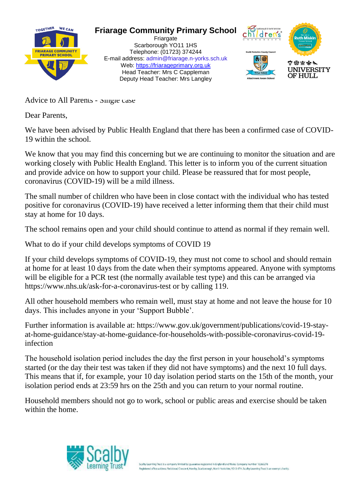

## **Friarage Community Primary School**

Friargate Scarborough YO11 1HS Telephone: (01723) 374244 E-mail address: admin@friarage.n-yorks.sch.uk Web: [https://friarageprimary.org.uk](https://friarageprimary.org.uk/) Head Teacher: Mrs C Cappleman Deputy Head Teacher: Mrs Langley



Advice to All Parents - Single case

Dear Parents,

We have been advised by Public Health England that there has been a confirmed case of COVID-19 within the school.

We know that you may find this concerning but we are continuing to monitor the situation and are working closely with Public Health England. This letter is to inform you of the current situation and provide advice on how to support your child. Please be reassured that for most people, coronavirus (COVID-19) will be a mild illness.

The small number of children who have been in close contact with the individual who has tested positive for coronavirus (COVID-19) have received a letter informing them that their child must stay at home for 10 days.

The school remains open and your child should continue to attend as normal if they remain well.

What to do if your child develops symptoms of COVID 19

If your child develops symptoms of COVID-19, they must not come to school and should remain at home for at least 10 days from the date when their symptoms appeared. Anyone with symptoms will be eligible for a PCR test (the normally available test type) and this can be arranged via https://www.nhs.uk/ask-for-a-coronavirus-test or by calling 119.

All other household members who remain well, must stay at home and not leave the house for 10 days. This includes anyone in your 'Support Bubble'.

Further information is available at: https://www.gov.uk/government/publications/covid-19-stayat-home-guidance/stay-at-home-guidance-for-households-with-possible-coronavirus-covid-19 infection

The household isolation period includes the day the first person in your household's symptoms started (or the day their test was taken if they did not have symptoms) and the next 10 full days. This means that if, for example, your 10 day isolation period starts on the 15th of the month, your isolation period ends at 23:59 hrs on the 25th and you can return to your normal routine.

Household members should not go to work, school or public areas and exercise should be taken within the home.